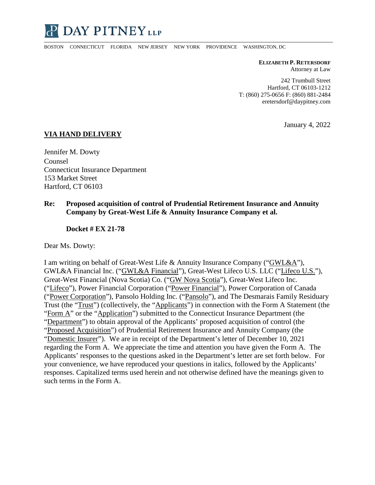

BOSTON CONNECTICUT FLORIDA NEW JERSEY NEW YORK PROVIDENCE WASHINGTON, DC

**ELIZABETH P. RETERSDORF** Attorney at Law

242 Trumbull Street Hartford, CT 06103-1212 T: (860) 275-0656 F: (860) 881-2484 eretersdorf@daypitney.com

January 4, 2022

#### **VIA HAND DELIVERY**

Jennifer M. Dowty Counsel Connecticut Insurance Department 153 Market Street Hartford, CT 06103

#### **Re: Proposed acquisition of control of Prudential Retirement Insurance and Annuity Company by Great-West Life & Annuity Insurance Company et al.**

#### **Docket # EX 21-78**

Dear Ms. Dowty:

I am writing on behalf of Great-West Life & Annuity Insurance Company ("GWL&A"), GWL&A Financial Inc. ("GWL&A Financial"), Great-West Lifeco U.S. LLC ("Lifeco U.S."), Great-West Financial (Nova Scotia) Co. ("GW Nova Scotia"), Great-West Lifeco Inc. ("Lifeco"), Power Financial Corporation ("Power Financial"), Power Corporation of Canada ("Power Corporation"), Pansolo Holding Inc. ("Pansolo"), and The Desmarais Family Residuary Trust (the "Trust") (collectively, the "Applicants") in connection with the Form A Statement (the "Form A" or the "Application") submitted to the Connecticut Insurance Department (the "Department") to obtain approval of the Applicants' proposed acquisition of control (the "Proposed Acquisition") of Prudential Retirement Insurance and Annuity Company (the "Domestic Insurer"). We are in receipt of the Department's letter of December 10, 2021 regarding the Form A. We appreciate the time and attention you have given the Form A. The Applicants' responses to the questions asked in the Department's letter are set forth below. For your convenience, we have reproduced your questions in italics, followed by the Applicants' responses. Capitalized terms used herein and not otherwise defined have the meanings given to such terms in the Form A.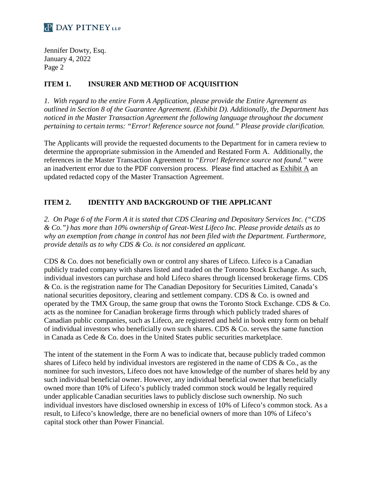Jennifer Dowty, Esq. January 4, 2022 Page 2

### **ITEM 1. INSURER AND METHOD OF ACQUISITION**

*1. With regard to the entire Form A Application, please provide the Entire Agreement as outlined in Section 8 of the Guarantee Agreement. (Exhibit D). Additionally, the Department has noticed in the Master Transaction Agreement the following language throughout the document pertaining to certain terms: "Error! Reference source not found." Please provide clarification.*

The Applicants will provide the requested documents to the Department for in camera review to determine the appropriate submission in the Amended and Restated Form A. Additionally, the references in the Master Transaction Agreement to *"Error! Reference source not found."* were an inadvertent error due to the PDF conversion process. Please find attached as  $Exhibit A$  an updated redacted copy of the Master Transaction Agreement.

### **ITEM 2. IDENTITY AND BACKGROUND OF THE APPLICANT**

*2. On Page 6 of the Form A it is stated that CDS Clearing and Depositary Services Inc. ("CDS & Co.") has more than 10% ownership of Great-West Lifeco Inc. Please provide details as to why an exemption from change in control has not been filed with the Department. Furthermore, provide details as to why CDS & Co. is not considered an applicant.*

CDS & Co. does not beneficially own or control any shares of Lifeco. Lifeco is a Canadian publicly traded company with shares listed and traded on the Toronto Stock Exchange. As such, individual investors can purchase and hold Lifeco shares through licensed brokerage firms. CDS & Co. is the registration name for The Canadian Depository for Securities Limited, Canada's national securities depository, clearing and settlement company. CDS & Co. is owned and operated by the TMX Group, the same group that owns the Toronto Stock Exchange. CDS & Co. acts as the nominee for Canadian brokerage firms through which publicly traded shares of Canadian public companies, such as Lifeco, are registered and held in book entry form on behalf of individual investors who beneficially own such shares. CDS & Co. serves the same function in Canada as Cede & Co. does in the United States public securities marketplace.

The intent of the statement in the Form A was to indicate that, because publicly traded common shares of Lifeco held by individual investors are registered in the name of CDS & Co., as the nominee for such investors, Lifeco does not have knowledge of the number of shares held by any such individual beneficial owner. However, any individual beneficial owner that beneficially owned more than 10% of Lifeco's publicly traded common stock would be legally required under applicable Canadian securities laws to publicly disclose such ownership. No such individual investors have disclosed ownership in excess of 10% of Lifeco's common stock. As a result, to Lifeco's knowledge, there are no beneficial owners of more than 10% of Lifeco's capital stock other than Power Financial.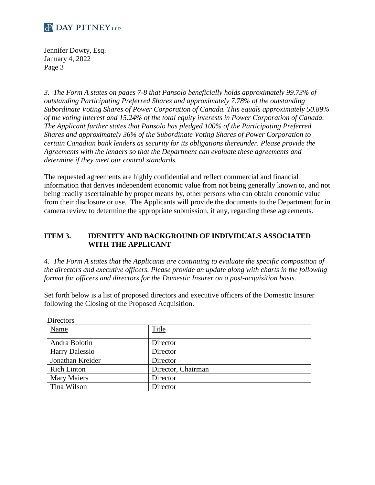Jennifer Dowty, Esq. January 4, 2022 Page 3

*3. The Form A states on pages 7-8 that Pansolo beneficially holds approximately 99.73% of outstanding Participating Preferred Shares and approximately 7.78% of the outstanding Subordinate Voting Shares of Power Corporation of Canada. This equals approximately 50.89% of the voting interest and 15.24% of the total equity interests in Power Corporation of Canada. The Applicant further states that Pansolo has pledged 100% of the Participating Preferred Shares and approximately 36% of the Subordinate Voting Shares of Power Corporation to certain Canadian bank lenders as security for its obligations thereunder. Please provide the Agreements with the lenders so that the Department can evaluate these agreements and determine if they meet our control standards.*

The requested agreements are highly confidential and reflect commercial and financial information that derives independent economic value from not being generally known to, and not being readily ascertainable by proper means by, other persons who can obtain economic value from their disclosure or use. The Applicants will provide the documents to the Department for in camera review to determine the appropriate submission, if any, regarding these agreements.

### **ITEM 3. IDENTITY AND BACKGROUND OF INDIVIDUALS ASSOCIATED WITH THE APPLICANT**

*4. The Form A states that the Applicants are continuing to evaluate the specific composition of the directors and executive officers. Please provide an update along with charts in the following format for officers and directors for the Domestic Insurer on a post-acquisition basis.*

Set forth below is a list of proposed directors and executive officers of the Domestic Insurer following the Closing of the Proposed Acquisition.

| <b>Directors</b>      |                    |
|-----------------------|--------------------|
| Name                  | Title              |
| Andra Bolotin         | Director           |
| <b>Harry Dalessio</b> | Director           |
| Jonathan Kreider      | Director           |
| <b>Rich Linton</b>    | Director, Chairman |
| <b>Mary Maiers</b>    | Director           |
| Tina Wilson           | Director           |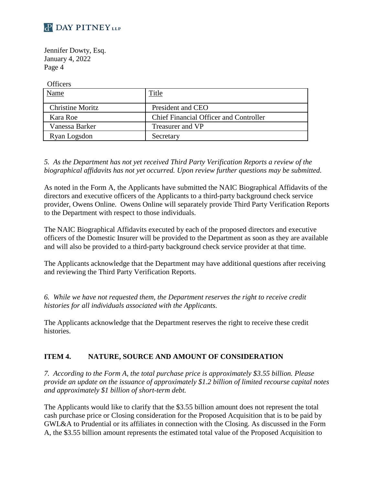

Jennifer Dowty, Esq. January 4, 2022 Page 4

**Officers** 

| Name                    | Title                                         |
|-------------------------|-----------------------------------------------|
| <b>Christine Moritz</b> | President and CEO                             |
| Kara Roe                | <b>Chief Financial Officer and Controller</b> |
| Vanessa Barker          | Treasurer and VP                              |
| Ryan Logsdon            | Secretary                                     |

*5. As the Department has not yet received Third Party Verification Reports a review of the biographical affidavits has not yet occurred. Upon review further questions may be submitted.*

As noted in the Form A, the Applicants have submitted the NAIC Biographical Affidavits of the directors and executive officers of the Applicants to a third-party background check service provider, Owens Online. Owens Online will separately provide Third Party Verification Reports to the Department with respect to those individuals.

The NAIC Biographical Affidavits executed by each of the proposed directors and executive officers of the Domestic Insurer will be provided to the Department as soon as they are available and will also be provided to a third-party background check service provider at that time.

The Applicants acknowledge that the Department may have additional questions after receiving and reviewing the Third Party Verification Reports.

*6. While we have not requested them, the Department reserves the right to receive credit histories for all individuals associated with the Applicants.* 

The Applicants acknowledge that the Department reserves the right to receive these credit histories.

### **ITEM 4. NATURE, SOURCE AND AMOUNT OF CONSIDERATION**

*7. According to the Form A, the total purchase price is approximately \$3.55 billion. Please provide an update on the issuance of approximately \$1.2 billion of limited recourse capital notes and approximately \$1 billion of short-term debt.* 

The Applicants would like to clarify that the \$3.55 billion amount does not represent the total cash purchase price or Closing consideration for the Proposed Acquisition that is to be paid by GWL&A to Prudential or its affiliates in connection with the Closing. As discussed in the Form A, the \$3.55 billion amount represents the estimated total value of the Proposed Acquisition to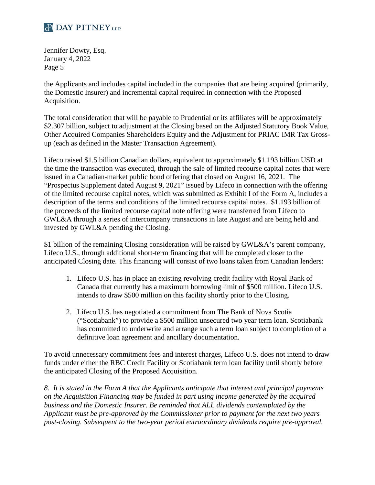Jennifer Dowty, Esq. January 4, 2022 Page 5

the Applicants and includes capital included in the companies that are being acquired (primarily, the Domestic Insurer) and incremental capital required in connection with the Proposed Acquisition.

The total consideration that will be payable to Prudential or its affiliates will be approximately \$2.307 billion, subject to adjustment at the Closing based on the Adjusted Statutory Book Value, Other Acquired Companies Shareholders Equity and the Adjustment for PRIAC IMR Tax Grossup (each as defined in the Master Transaction Agreement).

Lifeco raised \$1.5 billion Canadian dollars, equivalent to approximately \$1.193 billion USD at the time the transaction was executed, through the sale of limited recourse capital notes that were issued in a Canadian-market public bond offering that closed on August 16, 2021. The "Prospectus Supplement dated August 9, 2021" issued by Lifeco in connection with the offering of the limited recourse capital notes, which was submitted as Exhibit I of the Form A, includes a description of the terms and conditions of the limited recourse capital notes. \$1.193 billion of the proceeds of the limited recourse capital note offering were transferred from Lifeco to GWL&A through a series of intercompany transactions in late August and are being held and invested by GWL&A pending the Closing.

\$1 billion of the remaining Closing consideration will be raised by GWL&A's parent company, Lifeco U.S., through additional short-term financing that will be completed closer to the anticipated Closing date. This financing will consist of two loans taken from Canadian lenders:

- 1. Lifeco U.S. has in place an existing revolving credit facility with Royal Bank of Canada that currently has a maximum borrowing limit of \$500 million. Lifeco U.S. intends to draw \$500 million on this facility shortly prior to the Closing.
- 2. Lifeco U.S. has negotiated a commitment from The Bank of Nova Scotia ("Scotiabank") to provide a \$500 million unsecured two year term loan. Scotiabank has committed to underwrite and arrange such a term loan subject to completion of a definitive loan agreement and ancillary documentation.

To avoid unnecessary commitment fees and interest charges, Lifeco U.S. does not intend to draw funds under either the RBC Credit Facility or Scotiabank term loan facility until shortly before the anticipated Closing of the Proposed Acquisition.

*8. It is stated in the Form A that the Applicants anticipate that interest and principal payments on the Acquisition Financing may be funded in part using income generated by the acquired business and the Domestic Insurer. Be reminded that ALL dividends contemplated by the Applicant must be pre-approved by the Commissioner prior to payment for the next two years post-closing. Subsequent to the two-year period extraordinary dividends require pre-approval.*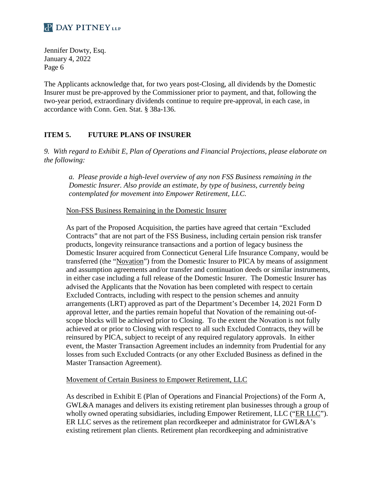

Jennifer Dowty, Esq. January 4, 2022 Page 6

The Applicants acknowledge that, for two years post-Closing, all dividends by the Domestic Insurer must be pre-approved by the Commissioner prior to payment, and that, following the two-year period, extraordinary dividends continue to require pre-approval, in each case, in accordance with Conn. Gen. Stat. § 38a-136.

### **ITEM 5. FUTURE PLANS OF INSURER**

*9. With regard to Exhibit E, Plan of Operations and Financial Projections, please elaborate on the following:* 

*a. Please provide a high-level overview of any non FSS Business remaining in the Domestic Insurer. Also provide an estimate, by type of business, currently being contemplated for movement into Empower Retirement, LLC.* 

Non-FSS Business Remaining in the Domestic Insurer

As part of the Proposed Acquisition, the parties have agreed that certain "Excluded Contracts" that are not part of the FSS Business, including certain pension risk transfer products, longevity reinsurance transactions and a portion of legacy business the Domestic Insurer acquired from Connecticut General Life Insurance Company, would be transferred (the "Novation") from the Domestic Insurer to PICA by means of assignment and assumption agreements and/or transfer and continuation deeds or similar instruments, in either case including a full release of the Domestic Insurer. The Domestic Insurer has advised the Applicants that the Novation has been completed with respect to certain Excluded Contracts, including with respect to the pension schemes and annuity arrangements (LRT) approved as part of the Department's December 14, 2021 Form D approval letter, and the parties remain hopeful that Novation of the remaining out-ofscope blocks will be achieved prior to Closing. To the extent the Novation is not fully achieved at or prior to Closing with respect to all such Excluded Contracts, they will be reinsured by PICA, subject to receipt of any required regulatory approvals. In either event, the Master Transaction Agreement includes an indemnity from Prudential for any losses from such Excluded Contracts (or any other Excluded Business as defined in the Master Transaction Agreement).

#### Movement of Certain Business to Empower Retirement, LLC

As described in Exhibit E (Plan of Operations and Financial Projections) of the Form A, GWL&A manages and delivers its existing retirement plan businesses through a group of wholly owned operating subsidiaries, including Empower Retirement, LLC ("ER LLC"). ER LLC serves as the retirement plan recordkeeper and administrator for GWL&A's existing retirement plan clients. Retirement plan recordkeeping and administrative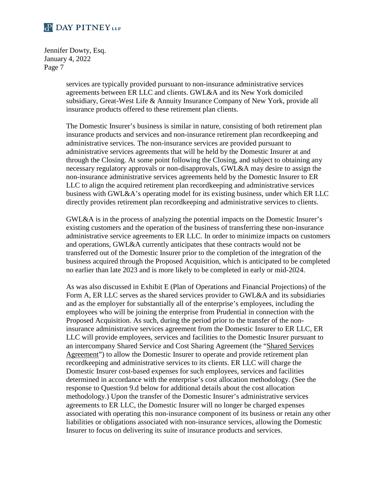Jennifer Dowty, Esq. January 4, 2022 Page 7

> services are typically provided pursuant to non-insurance administrative services agreements between ER LLC and clients. GWL&A and its New York domiciled subsidiary, Great-West Life & Annuity Insurance Company of New York, provide all insurance products offered to these retirement plan clients.

The Domestic Insurer's business is similar in nature, consisting of both retirement plan insurance products and services and non-insurance retirement plan recordkeeping and administrative services. The non-insurance services are provided pursuant to administrative services agreements that will be held by the Domestic Insurer at and through the Closing. At some point following the Closing, and subject to obtaining any necessary regulatory approvals or non-disapprovals, GWL&A may desire to assign the non-insurance administrative services agreements held by the Domestic Insurer to ER LLC to align the acquired retirement plan recordkeeping and administrative services business with GWL&A's operating model for its existing business, under which ER LLC directly provides retirement plan recordkeeping and administrative services to clients.

GWL&A is in the process of analyzing the potential impacts on the Domestic Insurer's existing customers and the operation of the business of transferring these non-insurance administrative service agreements to ER LLC. In order to minimize impacts on customers and operations, GWL&A currently anticipates that these contracts would not be transferred out of the Domestic Insurer prior to the completion of the integration of the business acquired through the Proposed Acquisition, which is anticipated to be completed no earlier than late 2023 and is more likely to be completed in early or mid-2024.

As was also discussed in Exhibit E (Plan of Operations and Financial Projections) of the Form A, ER LLC serves as the shared services provider to GWL&A and its subsidiaries and as the employer for substantially all of the enterprise's employees, including the employees who will be joining the enterprise from Prudential in connection with the Proposed Acquisition. As such, during the period prior to the transfer of the noninsurance administrative services agreement from the Domestic Insurer to ER LLC, ER LLC will provide employees, services and facilities to the Domestic Insurer pursuant to an intercompany Shared Service and Cost Sharing Agreement (the "Shared Services Agreement") to allow the Domestic Insurer to operate and provide retirement plan recordkeeping and administrative services to its clients. ER LLC will charge the Domestic Insurer cost-based expenses for such employees, services and facilities determined in accordance with the enterprise's cost allocation methodology. (See the response to Question 9.d below for additional details about the cost allocation methodology.) Upon the transfer of the Domestic Insurer's administrative services agreements to ER LLC, the Domestic Insurer will no longer be charged expenses associated with operating this non-insurance component of its business or retain any other liabilities or obligations associated with non-insurance services, allowing the Domestic Insurer to focus on delivering its suite of insurance products and services.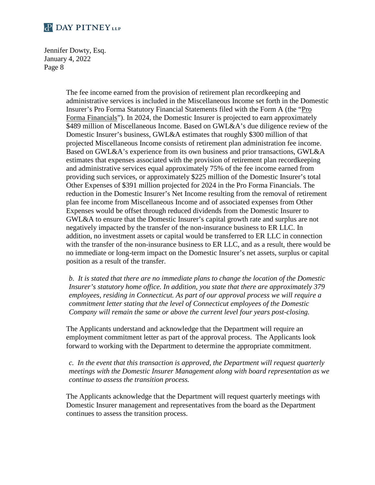Jennifer Dowty, Esq. January 4, 2022 Page 8

> The fee income earned from the provision of retirement plan recordkeeping and administrative services is included in the Miscellaneous Income set forth in the Domestic Insurer's Pro Forma Statutory Financial Statements filed with the Form A (the "Pro Forma Financials"). In 2024, the Domestic Insurer is projected to earn approximately \$489 million of Miscellaneous Income. Based on GWL&A's due diligence review of the Domestic Insurer's business, GWL&A estimates that roughly \$300 million of that projected Miscellaneous Income consists of retirement plan administration fee income. Based on GWL&A's experience from its own business and prior transactions, GWL&A estimates that expenses associated with the provision of retirement plan recordkeeping and administrative services equal approximately 75% of the fee income earned from providing such services, or approximately \$225 million of the Domestic Insurer's total Other Expenses of \$391 million projected for 2024 in the Pro Forma Financials. The reduction in the Domestic Insurer's Net Income resulting from the removal of retirement plan fee income from Miscellaneous Income and of associated expenses from Other Expenses would be offset through reduced dividends from the Domestic Insurer to GWL&A to ensure that the Domestic Insurer's capital growth rate and surplus are not negatively impacted by the transfer of the non-insurance business to ER LLC. In addition, no investment assets or capital would be transferred to ER LLC in connection with the transfer of the non-insurance business to ER LLC, and as a result, there would be no immediate or long-term impact on the Domestic Insurer's net assets, surplus or capital position as a result of the transfer.

*b. It is stated that there are no immediate plans to change the location of the Domestic Insurer's statutory home office. In addition, you state that there are approximately 379 employees, residing in Connecticut. As part of our approval process we will require a commitment letter stating that the level of Connecticut employees of the Domestic Company will remain the same or above the current level four years post-closing.*

The Applicants understand and acknowledge that the Department will require an employment commitment letter as part of the approval process. The Applicants look forward to working with the Department to determine the appropriate commitment.

*c. In the event that this transaction is approved, the Department will request quarterly meetings with the Domestic Insurer Management along with board representation as we continue to assess the transition process.*

The Applicants acknowledge that the Department will request quarterly meetings with Domestic Insurer management and representatives from the board as the Department continues to assess the transition process.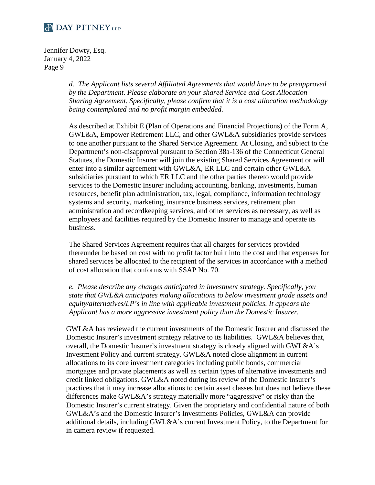Jennifer Dowty, Esq. January 4, 2022 Page 9

> *d. The Applicant lists several Affiliated Agreements that would have to be preapproved by the Department. Please elaborate on your shared Service and Cost Allocation Sharing Agreement. Specifically, please confirm that it is a cost allocation methodology being contemplated and no profit margin embedded.*

> As described at Exhibit E (Plan of Operations and Financial Projections) of the Form A, GWL&A, Empower Retirement LLC, and other GWL&A subsidiaries provide services to one another pursuant to the Shared Service Agreement. At Closing, and subject to the Department's non-disapproval pursuant to Section 38a-136 of the Connecticut General Statutes, the Domestic Insurer will join the existing Shared Services Agreement or will enter into a similar agreement with GWL&A, ER LLC and certain other GWL&A subsidiaries pursuant to which ER LLC and the other parties thereto would provide services to the Domestic Insurer including accounting, banking, investments, human resources, benefit plan administration, tax, legal, compliance, information technology systems and security, marketing, insurance business services, retirement plan administration and recordkeeping services, and other services as necessary, as well as employees and facilities required by the Domestic Insurer to manage and operate its business.

> The Shared Services Agreement requires that all charges for services provided thereunder be based on cost with no profit factor built into the cost and that expenses for shared services be allocated to the recipient of the services in accordance with a method of cost allocation that conforms with SSAP No. 70.

> *e. Please describe any changes anticipated in investment strategy. Specifically, you state that GWL&A anticipates making allocations to below investment grade assets and equity/alternatives/LP's in line with applicable investment policies. It appears the Applicant has a more aggressive investment policy than the Domestic Insurer.*

GWL&A has reviewed the current investments of the Domestic Insurer and discussed the Domestic Insurer's investment strategy relative to its liabilities. GWL&A believes that, overall, the Domestic Insurer's investment strategy is closely aligned with GWL&A's Investment Policy and current strategy. GWL&A noted close alignment in current allocations to its core investment categories including public bonds, commercial mortgages and private placements as well as certain types of alternative investments and credit linked obligations. GWL&A noted during its review of the Domestic Insurer's practices that it may increase allocations to certain asset classes but does not believe these differences make GWL&A's strategy materially more "aggressive" or risky than the Domestic Insurer's current strategy. Given the proprietary and confidential nature of both GWL&A's and the Domestic Insurer's Investments Policies, GWL&A can provide additional details, including GWL&A's current Investment Policy, to the Department for in camera review if requested.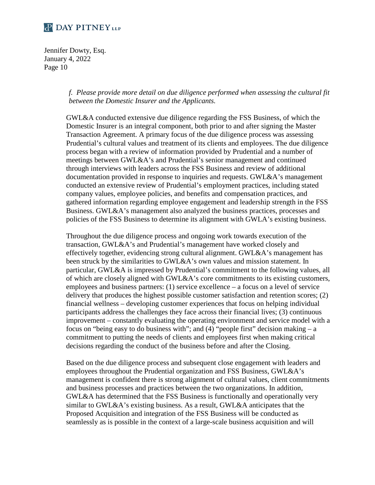Jennifer Dowty, Esq. January 4, 2022 Page 10

> *f. Please provide more detail on due diligence performed when assessing the cultural fit between the Domestic Insurer and the Applicants.*

> GWL&A conducted extensive due diligence regarding the FSS Business, of which the Domestic Insurer is an integral component, both prior to and after signing the Master Transaction Agreement. A primary focus of the due diligence process was assessing Prudential's cultural values and treatment of its clients and employees. The due diligence process began with a review of information provided by Prudential and a number of meetings between GWL&A's and Prudential's senior management and continued through interviews with leaders across the FSS Business and review of additional documentation provided in response to inquiries and requests. GWL&A's management conducted an extensive review of Prudential's employment practices, including stated company values, employee policies, and benefits and compensation practices, and gathered information regarding employee engagement and leadership strength in the FSS Business. GWL&A's management also analyzed the business practices, processes and policies of the FSS Business to determine its alignment with GWLA's existing business.

> Throughout the due diligence process and ongoing work towards execution of the transaction, GWL&A's and Prudential's management have worked closely and effectively together, evidencing strong cultural alignment. GWL&A's management has been struck by the similarities to GWL&A's own values and mission statement. In particular, GWL&A is impressed by Prudential's commitment to the following values, all of which are closely aligned with GWL&A's core commitments to its existing customers, employees and business partners: (1) service excellence – a focus on a level of service delivery that produces the highest possible customer satisfaction and retention scores; (2) financial wellness – developing customer experiences that focus on helping individual participants address the challenges they face across their financial lives; (3) continuous improvement – constantly evaluating the operating environment and service model with a focus on "being easy to do business with"; and (4) "people first" decision making – a commitment to putting the needs of clients and employees first when making critical decisions regarding the conduct of the business before and after the Closing.

> Based on the due diligence process and subsequent close engagement with leaders and employees throughout the Prudential organization and FSS Business, GWL&A's management is confident there is strong alignment of cultural values, client commitments and business processes and practices between the two organizations. In addition, GWL&A has determined that the FSS Business is functionally and operationally very similar to GWL&A's existing business. As a result, GWL&A anticipates that the Proposed Acquisition and integration of the FSS Business will be conducted as seamlessly as is possible in the context of a large-scale business acquisition and will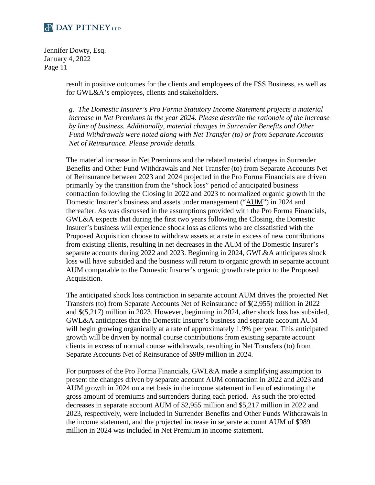Jennifer Dowty, Esq. January 4, 2022 Page 11

> result in positive outcomes for the clients and employees of the FSS Business, as well as for GWL&A's employees, clients and stakeholders.

*g. The Domestic Insurer's Pro Forma Statutory Income Statement projects a material increase in Net Premiums in the year 2024. Please describe the rationale of the increase by line of business. Additionally, material changes in Surrender Benefits and Other Fund Withdrawals were noted along with Net Transfer (to) or from Separate Accounts Net of Reinsurance. Please provide details.*

The material increase in Net Premiums and the related material changes in Surrender Benefits and Other Fund Withdrawals and Net Transfer (to) from Separate Accounts Net of Reinsurance between 2023 and 2024 projected in the Pro Forma Financials are driven primarily by the transition from the "shock loss" period of anticipated business contraction following the Closing in 2022 and 2023 to normalized organic growth in the Domestic Insurer's business and assets under management ("AUM") in 2024 and thereafter. As was discussed in the assumptions provided with the Pro Forma Financials, GWL&A expects that during the first two years following the Closing, the Domestic Insurer's business will experience shock loss as clients who are dissatisfied with the Proposed Acquisition choose to withdraw assets at a rate in excess of new contributions from existing clients, resulting in net decreases in the AUM of the Domestic Insurer's separate accounts during 2022 and 2023. Beginning in 2024, GWL&A anticipates shock loss will have subsided and the business will return to organic growth in separate account AUM comparable to the Domestic Insurer's organic growth rate prior to the Proposed Acquisition.

The anticipated shock loss contraction in separate account AUM drives the projected Net Transfers (to) from Separate Accounts Net of Reinsurance of \$(2,955) million in 2022 and \$(5,217) million in 2023. However, beginning in 2024, after shock loss has subsided, GWL&A anticipates that the Domestic Insurer's business and separate account AUM will begin growing organically at a rate of approximately 1.9% per year. This anticipated growth will be driven by normal course contributions from existing separate account clients in excess of normal course withdrawals, resulting in Net Transfers (to) from Separate Accounts Net of Reinsurance of \$989 million in 2024.

For purposes of the Pro Forma Financials, GWL&A made a simplifying assumption to present the changes driven by separate account AUM contraction in 2022 and 2023 and AUM growth in 2024 on a net basis in the income statement in lieu of estimating the gross amount of premiums and surrenders during each period. As such the projected decreases in separate account AUM of \$2,955 million and \$5,217 million in 2022 and 2023, respectively, were included in Surrender Benefits and Other Funds Withdrawals in the income statement, and the projected increase in separate account AUM of \$989 million in 2024 was included in Net Premium in income statement.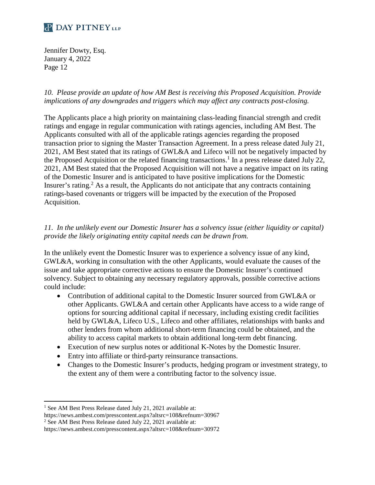Jennifer Dowty, Esq. January 4, 2022 Page 12

*10. Please provide an update of how AM Best is receiving this Proposed Acquisition. Provide implications of any downgrades and triggers which may affect any contracts post-closing.*

The Applicants place a high priority on maintaining class-leading financial strength and credit ratings and engage in regular communication with ratings agencies, including AM Best. The Applicants consulted with all of the applicable ratings agencies regarding the proposed transaction prior to signing the Master Transaction Agreement. In a press release dated July 21, 2021, AM Best stated that its ratings of GWL&A and Lifeco will not be negatively impacted by the Proposed Acquisition or the related financing transactions.<sup>1</sup> In a press release dated July 22, 2021, AM Best stated that the Proposed Acquisition will not have a negative impact on its rating of the Domestic Insurer and is anticipated to have positive implications for the Domestic Insurer's rating.<sup>2</sup> As a result, the Applicants do not anticipate that any contracts containing ratings-based covenants or triggers will be impacted by the execution of the Proposed Acquisition.

### *11. In the unlikely event our Domestic Insurer has a solvency issue (either liquidity or capital) provide the likely originating entity capital needs can be drawn from.*

In the unlikely event the Domestic Insurer was to experience a solvency issue of any kind, GWL&A, working in consultation with the other Applicants, would evaluate the causes of the issue and take appropriate corrective actions to ensure the Domestic Insurer's continued solvency. Subject to obtaining any necessary regulatory approvals, possible corrective actions could include:

- Contribution of additional capital to the Domestic Insurer sourced from GWL&A or other Applicants. GWL&A and certain other Applicants have access to a wide range of options for sourcing additional capital if necessary, including existing credit facilities held by GWL&A, Lifeco U.S., Lifeco and other affiliates, relationships with banks and other lenders from whom additional short-term financing could be obtained, and the ability to access capital markets to obtain additional long-term debt financing.
- Execution of new surplus notes or additional K-Notes by the Domestic Insurer.
- Entry into affiliate or third-party reinsurance transactions.
- Changes to the Domestic Insurer's products, hedging program or investment strategy, to the extent any of them were a contributing factor to the solvency issue.

<sup>2</sup> See AM Best Press Release dated July 22, 2021 available at:

<sup>&</sup>lt;sup>1</sup> See AM Best Press Release dated July 21, 2021 available at:

https://news.ambest.com/presscontent.aspx?altsrc=108&refnum=30967

https://news.ambest.com/presscontent.aspx?altsrc=108&refnum=30972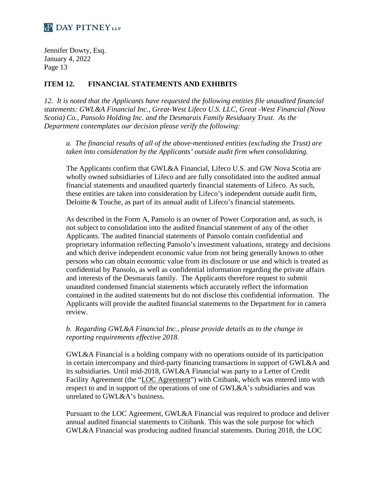Jennifer Dowty, Esq. January 4, 2022 Page 13

### **ITEM 12. FINANCIAL STATEMENTS AND EXHIBITS**

*12. It is noted that the Applicants have requested the following entities file unaudited financial statements: GWL&A Financial Inc., Great-West Lifeco U.S. LLC, Great -West Financial (Nova Scotia) Co., Pansolo Holding Inc. and the Desmarais Family Residuary Trust. As the Department contemplates our decision please verify the following:* 

*a. The financial results of all of the above-mentioned entities (excluding the Trust) are taken into consideration by the Applicants' outside audit firm when consolidating.*

The Applicants confirm that GWL&A Financial, Lifeco U.S. and GW Nova Scotia are wholly owned subsidiaries of Lifeco and are fully consolidated into the audited annual financial statements and unaudited quarterly financial statements of Lifeco. As such, these entities are taken into consideration by Lifeco's independent outside audit firm, Deloitte & Touche, as part of its annual audit of Lifeco's financial statements.

As described in the Form A, Pansolo is an owner of Power Corporation and, as such, is not subject to consolidation into the audited financial statement of any of the other Applicants. The audited financial statements of Pansolo contain confidential and proprietary information reflecting Pansolo's investment valuations, strategy and decisions and which derive independent economic value from not being generally known to other persons who can obtain economic value from its disclosure or use and which is treated as confidential by Pansolo, as well as confidential information regarding the private affairs and interests of the Desmarais family. The Applicants therefore request to submit unaudited condensed financial statements which accurately reflect the information contained in the audited statements but do not disclose this confidential information. The Applicants will provide the audited financial statements to the Department for in camera review.

#### *b. Regarding GWL&A Financial Inc., please provide details as to the change in reporting requirements effective 2018.*

GWL&A Financial is a holding company with no operations outside of its participation in certain intercompany and third-party financing transactions in support of GWL&A and its subsidiaries. Until mid-2018, GWL&A Financial was party to a Letter of Credit Facility Agreement (the "LOC Agreement") with Citibank, which was entered into with respect to and in support of the operations of one of GWL&A's subsidiaries and was unrelated to GWL&A's business.

Pursuant to the LOC Agreement, GWL&A Financial was required to produce and deliver annual audited financial statements to Citibank. This was the sole purpose for which GWL&A Financial was producing audited financial statements. During 2018, the LOC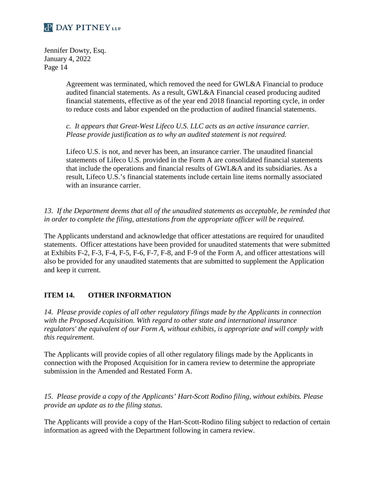Jennifer Dowty, Esq. January 4, 2022 Page 14

> Agreement was terminated, which removed the need for GWL&A Financial to produce audited financial statements. As a result, GWL&A Financial ceased producing audited financial statements, effective as of the year end 2018 financial reporting cycle, in order to reduce costs and labor expended on the production of audited financial statements.

*c. It appears that Great-West Lifeco U.S. LLC acts as an active insurance carrier. Please provide justification as to why an audited statement is not required.*

Lifeco U.S. is not, and never has been, an insurance carrier. The unaudited financial statements of Lifeco U.S. provided in the Form A are consolidated financial statements that include the operations and financial results of GWL&A and its subsidiaries. As a result, Lifeco U.S.'s financial statements include certain line items normally associated with an insurance carrier.

*13. If the Department deems that all of the unaudited statements as acceptable, be reminded that in order to complete the filing, attestations from the appropriate officer will be required.*

The Applicants understand and acknowledge that officer attestations are required for unaudited statements. Officer attestations have been provided for unaudited statements that were submitted at Exhibits F-2, F-3, F-4, F-5, F-6, F-7, F-8, and F-9 of the Form A, and officer attestations will also be provided for any unaudited statements that are submitted to supplement the Application and keep it current.

### **ITEM 14. OTHER INFORMATION**

*14. Please provide copies of all other regulatory filings made by the Applicants in connection with the Proposed Acquisition. With regard to other state and international insurance regulators' the equivalent of our Form A, without exhibits, is appropriate and will comply with this requirement.* 

The Applicants will provide copies of all other regulatory filings made by the Applicants in connection with the Proposed Acquisition for in camera review to determine the appropriate submission in the Amended and Restated Form A.

*15. Please provide a copy of the Applicants' Hart-Scott Rodino filing, without exhibits. Please provide an update as to the filing status.* 

The Applicants will provide a copy of the Hart-Scott-Rodino filing subject to redaction of certain information as agreed with the Department following in camera review.